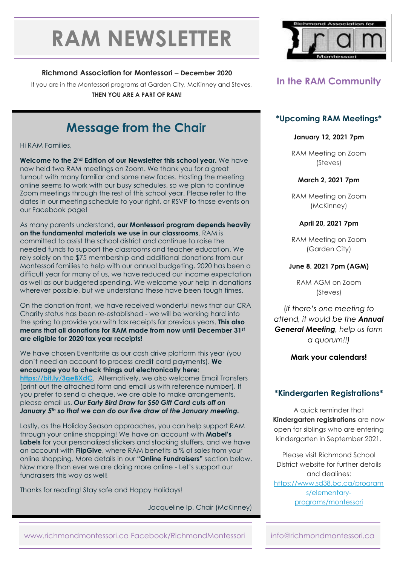# **RAM NEWSLETTER**

#### **Richmond Association for Montessori – December 2020**

If you are in the Montessori programs at Garden City, McKinney and Steves,

**THEN YOU ARE A PART OF RAM!**

# **Message from the Chair**

Hi RAM Families,

**Welcome to the 2nd Edition of our Newsletter this school year.** We have now held two RAM meetings on Zoom. We thank you for a great turnout with many familiar and some new faces. Hosting the meeting online seems to work with our busy schedules, so we plan to continue Zoom meetings through the rest of this school year. Please refer to the dates in our meeting schedule to your right, or RSVP to those events on our Facebook page!

As many parents understand, **our Montessori program depends heavily on the fundamental materials we use in our classrooms**. RAM is committed to assist the school district and continue to raise the needed funds to support the classrooms and teacher education. We rely solely on the \$75 membership and additional donations from our Montessori families to help with our annual budgeting. 2020 has been a difficult year for many of us, we have reduced our income expectation as well as our budgeted spending. We welcome your help in donations wherever possible, but we understand these have been tough times.

On the donation front, we have received wonderful news that our CRA Charity status has been re-established - we will be working hard into the spring to provide you with tax receipts for previous years. **This also means that all donations for RAM made from now until December 31st are eligible for 2020 tax year receipts!**

We have chosen Eventbrite as our cash drive platform this year (you don't need an account to process credit card payments). **We encourage you to check things out electronically here: <https://bit.ly/3geBXdC>**. Alternatively, we also welcome Email Transfers (print out the attached form and email us with reference number). If you prefer to send a cheque, we are able to make arrangements, please email us. *Our Early Bird Draw for \$50 Gift Card cuts off on January 5th so that we can do our live draw at the January meeting.*

Lastly, as the Holiday Season approaches, you can help support RAM through your online shopping! We have an account with **Mabel's Labels** for your personalized stickers and stocking stuffers, and we have an account with **FlipGive**, where RAM benefits a % of sales from your online shopping. More details in our **"Online Fundraisers"** section below. Now more than ever we are doing more online - Let's support our fundraisers this way as well!

Thanks for reading! Stay safe and Happy Holidays!

Jacqueline Ip, Chair (McKinney)



## **In the RAM Community**

#### **\*Upcoming RAM Meetings\***

#### **January 12, 2021 7pm**

RAM Meeting on Zoom (Steves)

#### **March 2, 2021 7pm**

RAM Meeting on Zoom (McKinney)

#### **April 20, 2021 7pm**

RAM Meeting on Zoom (Garden City)

#### **June 8, 2021 7pm (AGM)**

RAM AGM on Zoom (Steves)

(*If there's one meeting to attend, it would be the Annual General Meeting, help us form a quorum!!)*

#### **Mark your calendars!**

#### **\*Kindergarten Registrations\***

A quick reminder that **Kindergarten registrations** are now open for siblings who are entering kindergarten in September 2021.

Please visit Richmond School District website for further details and dealines: [https://www.sd38.bc.ca/program](https://www.sd38.bc.ca/programs/elementary-programs/montessori) [s/elementary](https://www.sd38.bc.ca/programs/elementary-programs/montessori)[programs/montessori](https://www.sd38.bc.ca/programs/elementary-programs/montessori)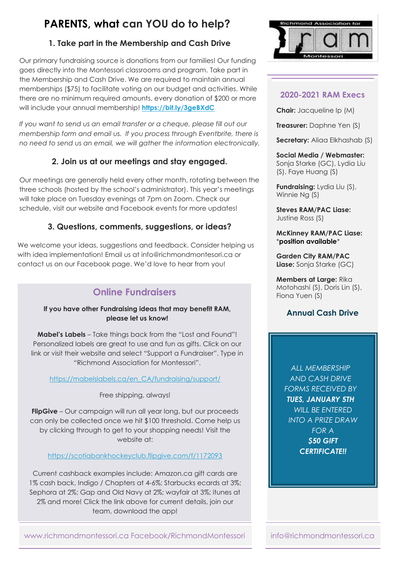## **PARENTS, what can YOU do to help?**

## **1. Take part in the Membership and Cash Drive**

Our primary fundraising source is donations from our families! Our funding goes directly into the Montessori classrooms and program. Take part in the Membership and Cash Drive. We are required to maintain annual memberships (\$75) to facilitate voting on our budget and activities. While there are no minimum required amounts, every donation of \$200 or more will include your annual membership! **<https://bit.ly/3geBXdC>**

*If you want to send us an email transfer or a cheque, please fill out our membership form and email us. If you process through Eventbrite, there is no need to send us an email, we will gather the information electronically.*

## **2. Join us at our meetings and stay engaged.**

Our meetings are generally held every other month, rotating between the three schools (hosted by the school's administrator). This year's meetings will take place on Tuesday evenings at 7pm on Zoom. Check our schedule, visit our website and Facebook events for more updates!

## **3. Questions, comments, suggestions, or ideas?**

We welcome your ideas, suggestions and feedback. Consider helping us with idea implementation! Email us at info@richmondmontesori.ca or contact us on our Facebook page. We'd love to hear from you!

## **Online Fundraisers**

#### **If you have other Fundraising ideas that may benefit RAM, please let us know!**

**Mabel's Labels** – Take things back from the "Lost and Found"! Personalized labels are great to use and fun as gifts. Click on our link or visit their website and select "Support a Fundraiser". Type in "Richmond Association for Montessori".

#### [https://mabelslabels.ca/en\\_CA/fundraising/support/](https://mabelslabels.ca/en_CA/fundraising/support/)

Free shipping, always!

**FlipGive** – Our campaign will run all year long, but our proceeds can only be collected once we hit \$100 threshold. Come help us by clicking through to get to your shopping needs! Visit the website at:

#### <https://scotiabankhockeyclub.flipgive.com/f/1172093>

Current cashback examples include: Amazon.ca gift cards are 1% cash back, Indigo / Chapters at 4-6%; Starbucks ecards at 3%; Sephora at 2%; Gap and Old Navy at 2%; wayfair at 3%; itunes at 2% and more! Click the link above for current details, join our team, download the app!



## **2020-2021 RAM Execs**

**Chair:** Jacqueline Ip (M)

**Treasurer:** Daphne Yen (S)

**Secretary:** Aliaa Elkhashab (S)

### **Social Media / Webmaster:**

Sonja Starke (GC), Lydia Liu (S), Faye Huang (S)

**Fundraising:** Lydia Liu (S), Winnie Ng (S)

**Steves RAM/PAC Liase:** Justine Ross (S)

#### **McKinney RAM/PAC Liase:** \***position available**\*

**Garden City RAM/PAC Liase:** Sonja Starke (GC)

**Members at Large:** Rika Motohashi (S), Doris Lin (S), Fiona Yuen (S)

#### **Annual Cash Drive**

*ALL MEMBERSHIP AND CASH DRIVE FORMS RECEIVED BY TUES, JANUARY 5TH WILL BE ENTERED INTO A PRIZE DRAW FOR A \$50 GIFT CERTIFICATE!!*

www.richmondmontessori.ca Facebook/RichmondMontessori info@richmondmontessori.ca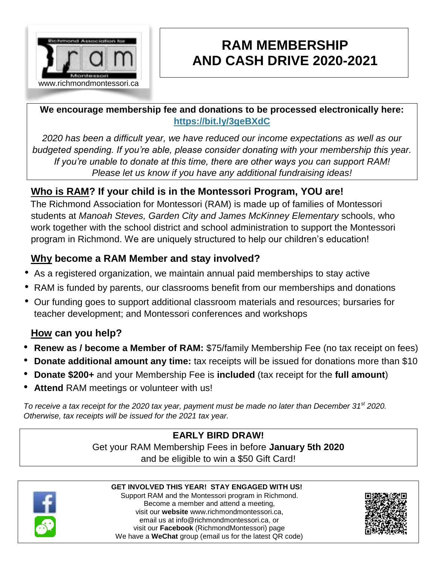

# **RAM MEMBERSHIP AND CASH DRIVE 2020-2021**

**We encourage membership fee and donations to be processed electronically here: <https://bit.ly/3geBXdC>**

*2020 has been a difficult year, we have reduced our income expectations as well as our budgeted spending. If you're able, please consider donating with your membership this year. If you're unable to donate at this time, there are other ways you can support RAM! Please let us know if you have any additional fundraising ideas!*

## **Who is RAM? If your child is in the Montessori Program, YOU are!**

The Richmond Association for Montessori (RAM) [is made up of families of Montessori](http://gardencity.sd38.bc.ca/)  [students at](http://gardencity.sd38.bc.ca/) *[Manoah Steves,](http://gardencity.sd38.bc.ca/) [Garden City and](http://gardencity.sd38.bc.ca/) [James McKinney](http://mckinney.sd38.bc.ca/) [Elementary](http://gardencity.sd38.bc.ca/)* [schools, who](http://gardencity.sd38.bc.ca/)  [work together with the](http://gardencity.sd38.bc.ca/) [school district](http://www.sd38.bc.ca/) [a](http://www.sd38.bc.ca/)nd school administration to support the Montessori program in Richmond. We are uniquely structured to help our children's education!

## **Why become a RAM Member and stay involved?**

- As a registered organization, we maintain annual paid memberships to stay active
- RAM is funded by parents, our classrooms benefit from our memberships and donations
- Our funding goes to support additional classroom materials and resources; bursaries for teacher development; and Montessori conferences and workshops

## **How can you help?**

- **Renew as / become a Member of RAM:** \$75/family Membership Fee (no tax receipt on fees)
- **Donate additional amount any time:** tax receipts will be issued for donations more than \$10
- **Donate \$200+** and your Membership Fee is **included** (tax receipt for the **full amount**)
- **Attend** RAM meetings or volunteer with us!

*To receive a tax receipt for the 2020 tax year, payment must be made no later than December 31st 2020. Otherwise, tax receipts will be issued for the 2021 tax year.*

## **EARLY BIRD DRAW!**

Get your RAM Membership Fees in before **January 5th 2020** and be eligible to win a \$50 Gift Card!



#### **GET INVOLVED THIS YEAR! STAY ENGAGED WITH US!**

Support RAM and the Montessori program in Richmond. Become a member and attend a meeting, visit our **website** [www.richmondmontessori.ca,](http://www.richmondmontessori.ca/) email us at info@richmondmontessori.ca, or visit our **Facebook** (RichmondMontessori) page We have a **WeChat** group (email us for the latest QR code)